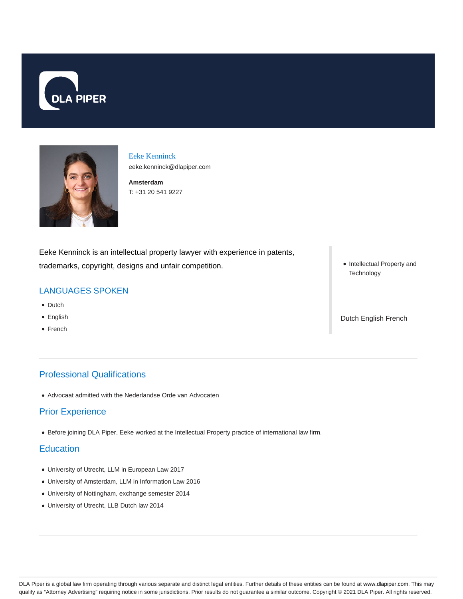



Eeke Kenninck eeke.kenninck@dlapiper.com

**Amsterdam** T: +31 20 541 9227

Eeke Kenninck is an intellectual property lawyer with experience in patents, trademarks, copyright, designs and unfair competition.

## LANGUAGES SPOKEN

- Dutch
- English
- French

## Professional Qualifications

Advocaat admitted with the Nederlandse Orde van Advocaten

### Prior Experience

Before joining DLA Piper, Eeke worked at the Intellectual Property practice of international law firm.

#### **Education**

- University of Utrecht, LLM in European Law 2017
- University of Amsterdam, LLM in Information Law 2016
- University of Nottingham, exchange semester 2014
- University of Utrecht, LLB Dutch law 2014

• Intellectual Property and **Technology** 

Dutch English French

DLA Piper is a global law firm operating through various separate and distinct legal entities. Further details of these entities can be found at www.dlapiper.com. This may qualify as "Attorney Advertising" requiring notice in some jurisdictions. Prior results do not guarantee a similar outcome. Copyright © 2021 DLA Piper. All rights reserved.